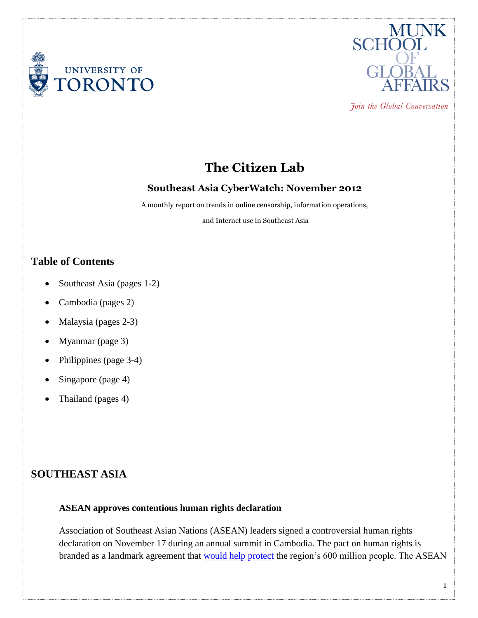



Join the Global Conversation

# **The Citizen Lab**

### **Southeast Asia CyberWatch: November 2012**

A monthly report on trends in online censorship, information operations,

and Internet use in Southeast Asia

## **Table of Contents**

- Southeast Asia (pages 1-2)
- Cambodia (pages 2)
- Malaysia (pages 2-3)
- Myanmar (page 3)
- Philippines (page 3-4)
- Singapore (page 4)
- Thailand (pages 4)

# **SOUTHEAST ASIA**

#### **ASEAN approves contentious human rights declaration**

Association of Southeast Asian Nations (ASEAN) leaders signed a controversial human rights declaration on November 17 during an annual summit in Cambodia. The pact on human rights is branded as a landmark agreement that [would help protect](http://www.channelnewsasia.com/stories/southeastasia/view/1237958/1/.html) the region's 600 million people. The ASEAN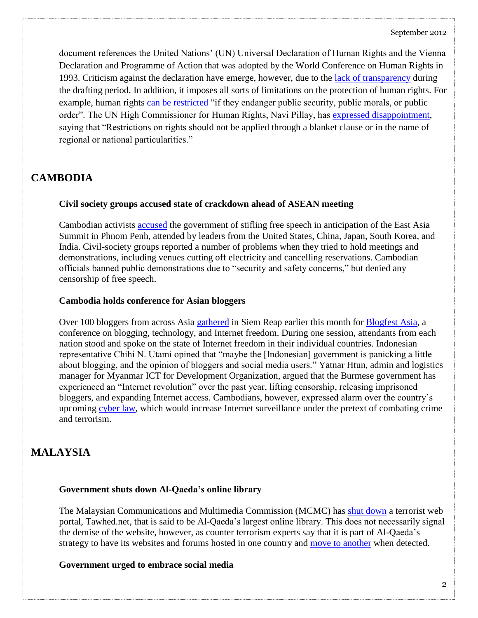document references the United Nations' (UN) Universal Declaration of Human Rights and the Vienna Declaration and Programme of Action that was adopted by the World Conference on Human Rights in 1993. Criticism against the declaration have emerge, however, due to the [lack of transparency](http://www.theaustralian.com.au/news/breaking-news/asean-rights-pact-on-track-despite-protest/story-fn3dxix6-1226517743573) during the drafting period. In addition, it imposes all sorts of limitations on the protection of human rights. For example, human rights [can be restricted](http://www.dw.de/a-rights-declaration-that-does-not-deserve-the-name/a-16398383) "if they endanger public security, public morals, or public order". The UN High Commissioner for Human Rights, Navi Pillay, has [expressed disappointment,](http://online.wsj.com/article/SB10001424127887323353204578126803863141948.html?mod=googlenews_wsj) saying that "Restrictions on rights should not be applied through a blanket clause or in the name of regional or national particularities."

# **CAMBODIA**

### **Civil society groups accused state of crackdown ahead of ASEAN meeting**

Cambodian activists [accused](http://blogs.wsj.com/searealtime/2012/11/16/activists-allege-cambodian-crackdown-before-asean-meet/) the government of stifling free speech in anticipation of the East Asia Summit in Phnom Penh, attended by leaders from the United States, China, Japan, South Korea, and India. Civil-society groups reported a number of problems when they tried to hold meetings and demonstrations, including venues cutting off electricity and cancelling reservations. Cambodian officials banned public demonstrations due to "security and safety concerns," but denied any censorship of free speech.

### **Cambodia holds conference for Asian bloggers**

Over 100 bloggers from across Asia [gathered](http://www.globalpost.com/dispatch/news/regions/asia-pacific/cambodia/121104/asian-bloggers-discuss-internet-freedom-at-cambod) in Siem Reap earlier this month for [Blogfest Asia,](http://2012.blogfest.asia/) a conference on blogging, technology, and Internet freedom. During one session, attendants from each nation stood and spoke on the state of Internet freedom in their individual countries. Indonesian representative Chihi N. Utami opined that "maybe the [Indonesian] government is panicking a little about blogging, and the opinion of bloggers and social media users." Yatnar Htun, admin and logistics manager for Myanmar ICT for Development Organization, argued that the Burmese government has experienced an "Internet revolution" over the past year, lifting censorship, releasing imprisoned bloggers, and expanding Internet access. Cambodians, however, expressed alarm over the country's upcoming [cyber law,](http://www.aljazeera.com/news/asia-pacific/2012/07/201272434744455272.html) which would increase Internet surveillance under the pretext of combating crime and terrorism.

# **MALAYSIA**

### **Government shuts down Al-Qaeda's online library**

The Malaysian Communications and Multimedia Commission (MCMC) has [shut down](http://www.channelnewsasia.com/stories/southeastasia/view/1234787/1/.html) a terrorist web portal, Tawhed.net, that is said to be Al-Qaeda's largest online library. This does not necessarily signal the demise of the website, however, as counter terrorism experts say that it is part of Al-Qaeda's strategy to have its websites and forums hosted in one country and [move to another](http://www.malaysiandigest.com/news/36-local2/154141-al-qaeda-website-hosted-in-malaysia.html) when detected.

## **Government urged to embrace social media**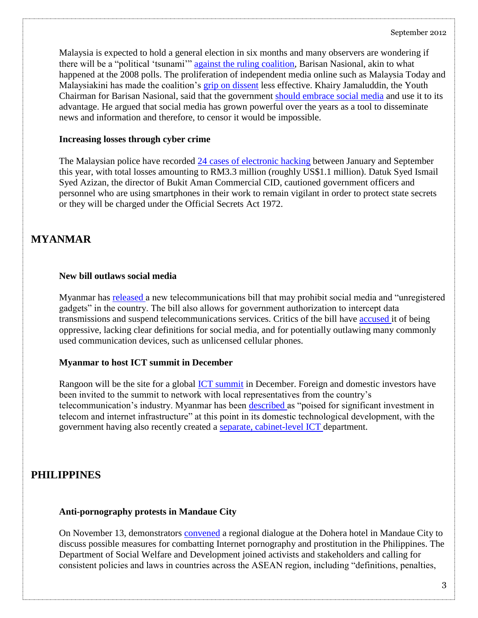Malaysia is expected to hold a general election in six months and many observers are wondering if there will be a "political 'tsunami'" [against the ruling coalition,](http://www.ipsnews.net/2012/11/will-social-media-sway-malaysias-elections/) Barisan Nasional, akin to what happened at the 2008 polls. The proliferation of independent media online such as Malaysia Today and Malaysiakini has made the coalition's [grip on dissent](http://asiasentinel.com/index.php?option=com_content&task=view&id=4977&Itemid=164) less effective. Khairy Jamaluddin, the Youth Chairman for Barisan Nasional, said that the government [should embrace social media](http://thestar.com.my/news/story.asp?file=/2012/11/3/nation/12268383&sec=nation) and use it to its advantage. He argued that social media has grown powerful over the years as a tool to disseminate news and information and therefore, to censor it would be impossible.

#### **Increasing losses through cyber crime**

The Malaysian police have recorded [24 cases of electronic hacking](http://www.bernama.com/bernama/v6/newsgeneral.php?id=709316) between January and September this year, with total losses amounting to RM3.3 million (roughly US\$1.1 million). Datuk Syed Ismail Syed Azizan, the director of Bukit Aman Commercial CID, cautioned government officers and personnel who are using smartphones in their work to remain vigilant in order to protect state secrets or they will be charged under the Official Secrets Act 1972.

# **MYANMAR**

#### **New bill outlaws social media**

Myanmar has [released a](http://elevenmyanmar.com/politics/1280-myanmar-bans-social-media-use-under-telecoms-bill) new telecommunications bill that may prohibit social media and "unregistered gadgets" in the country. The bill also allows for government authorization to intercept data transmissions and suspend telecommunications services. Critics of the bill have [accused i](http://elevenmyanmar.com/politics/1280-myanmar-bans-social-media-use-under-telecoms-bill)t of being oppressive, lacking clear definitions for social media, and for potentially outlawing many commonly used communication devices, such as unlicensed cellular phones.

### **Myanmar to host ICT summit in December**

Rangoon will be the site for a global [ICT summit](http://www.mizzima.com/news/breaking-and-news-brief/8412-rangoon-to-host-ict-summit-dec-3-4.html) in December. Foreign and domestic investors have been invited to the summit to network with local representatives from the country's telecommunication's industry. Myanmar has been [described a](http://www.developingtelecoms.com/strategic-summit-on-myanmars-ict-and-telecom-developments-a-opportunities.html)s "poised for significant investment in telecom and internet infrastructure" at this point in its domestic technological development, with the government having also recently created a [separate, cabinet-level ICT d](http://www.interaksyon.com/infotech/myanmar-leaps-ahead-of-the-philippines-in-creation-of-ict-ministry)epartment.

## **PHILIPPINES**

### **Anti-pornography protests in Mandaue City**

On November 13, demonstrators [convened](http://www.pia.gov.ph/news/index.php?article=1981352975380) a regional dialogue at the Dohera hotel in Mandaue City to discuss possible measures for combatting Internet pornography and prostitution in the Philippines. The Department of Social Welfare and Development joined activists and stakeholders and calling for consistent policies and laws in countries across the ASEAN region, including "definitions, penalties,